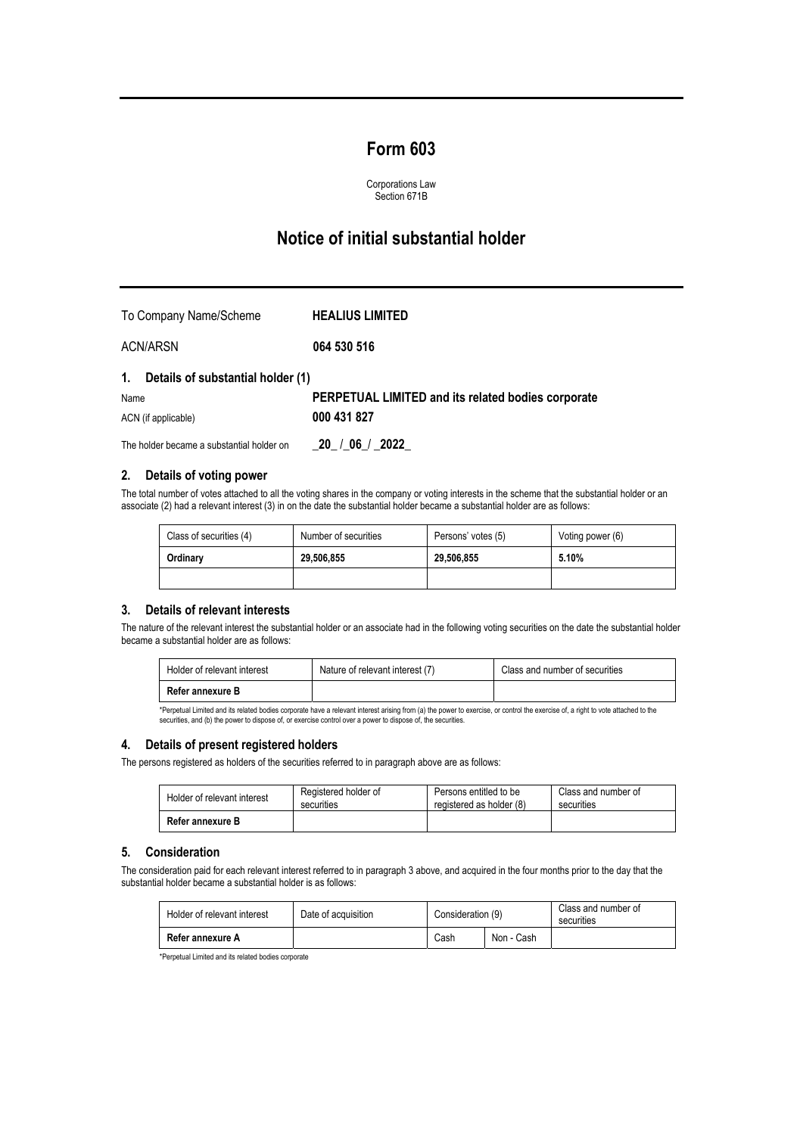## **Form 603**

Corporations Law Section 671B

# **Notice of initial substantial holder**

| To Company Name/Scheme               | <b>HEALIUS LIMITED</b>                             |
|--------------------------------------|----------------------------------------------------|
| ACN/ARSN                             | 064 530 516                                        |
| 1. Details of substantial holder (1) |                                                    |
| Name                                 | PERPETUAL LIMITED and its related bodies corporate |
| ACN (if applicable)                  | 000 431 827                                        |

The holder became a substantial holder on \_**20\_** /**\_06**\_/ \_**2022\_**

#### **2. Details of voting power**

The total number of votes attached to all the voting shares in the company or voting interests in the scheme that the substantial holder or an associate (2) had a relevant interest (3) in on the date the substantial holder became a substantial holder are as follows:

| Class of securities (4) | Number of securities | Persons' votes (5) | Voting power (6) |
|-------------------------|----------------------|--------------------|------------------|
| Ordinary                | 29.506.855           | 29.506.855         | 5.10%            |
|                         |                      |                    |                  |

#### **3. Details of relevant interests**

The nature of the relevant interest the substantial holder or an associate had in the following voting securities on the date the substantial holder became a substantial holder are as follows:

| Holder of relevant interest | Nature of relevant interest (7) | Class and number of securities |
|-----------------------------|---------------------------------|--------------------------------|
| Refer annexure B            |                                 |                                |

\*Perpetual Limited and its related bodies corporate have a relevant interest arising from (a) the power to exercise, or control the exercise of, a right to vote attached to the<br>securities, and (b) the power to dispose of,

#### **4. Details of present registered holders**

The persons registered as holders of the securities referred to in paragraph above are as follows:

| Holder of relevant interest | Registered holder of | Persons entitled to be   | Class and number of |
|-----------------------------|----------------------|--------------------------|---------------------|
|                             | securities           | registered as holder (8) | securities          |
| Refer annexure B            |                      |                          |                     |

#### **5. Consideration**

The consideration paid for each relevant interest referred to in paragraph 3 above, and acquired in the four months prior to the day that the substantial holder became a substantial holder is as follows:

| Holder of relevant interest | Date of acquisition | Consideration (9) |            | Class and number of<br>securities |
|-----------------------------|---------------------|-------------------|------------|-----------------------------------|
| Refer annexure A            |                     | Cash              | Non - Cash |                                   |

\*Perpetual Limited and its related bodies corporate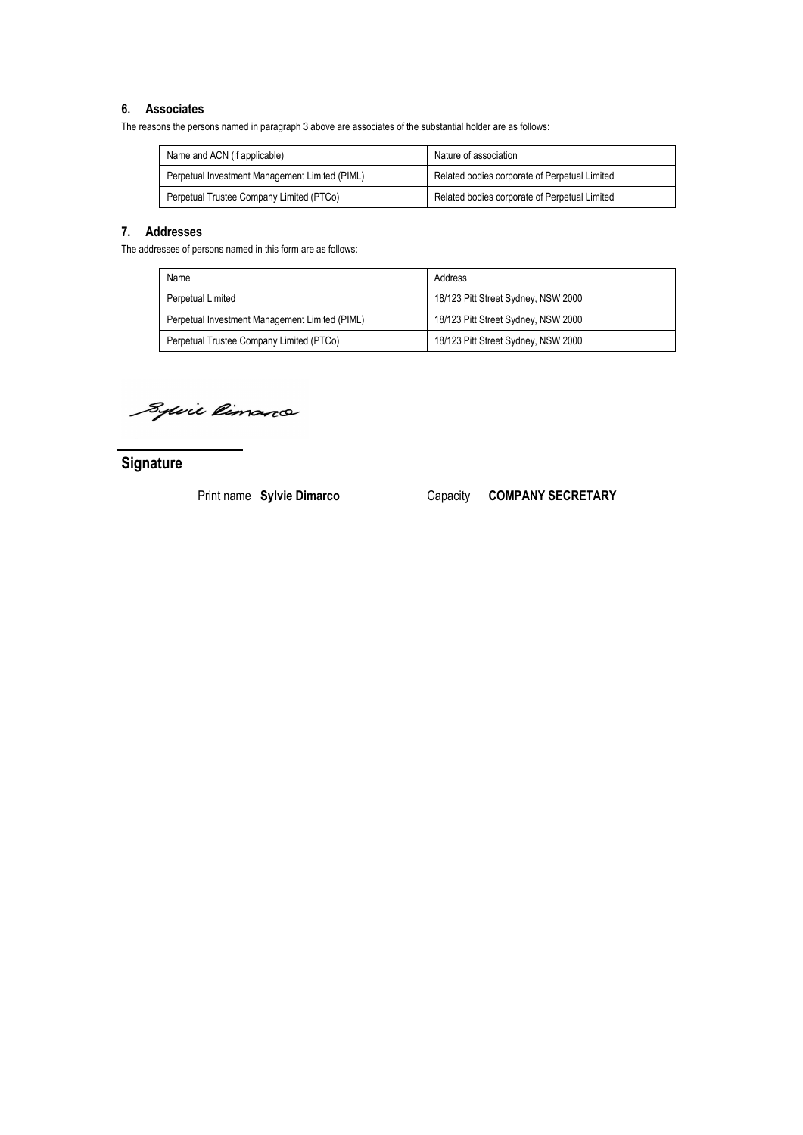#### **6. Associates**

The reasons the persons named in paragraph 3 above are associates of the substantial holder are as follows:

| Name and ACN (if applicable)                   | Nature of association                         |
|------------------------------------------------|-----------------------------------------------|
| Perpetual Investment Management Limited (PIML) | Related bodies corporate of Perpetual Limited |
| Perpetual Trustee Company Limited (PTCo)       | Related bodies corporate of Perpetual Limited |

### **7. Addresses**

The addresses of persons named in this form are as follows:

| Name                                           | Address                             |
|------------------------------------------------|-------------------------------------|
| Perpetual Limited                              | 18/123 Pitt Street Sydney, NSW 2000 |
| Perpetual Investment Management Limited (PIML) | 18/123 Pitt Street Sydney, NSW 2000 |
| Perpetual Trustee Company Limited (PTCo)       | 18/123 Pitt Street Sydney, NSW 2000 |

Sylvie Rimano

**Signature** 

Print name **Sylvie Dimarco** Capacity **COMPANY SECRETARY**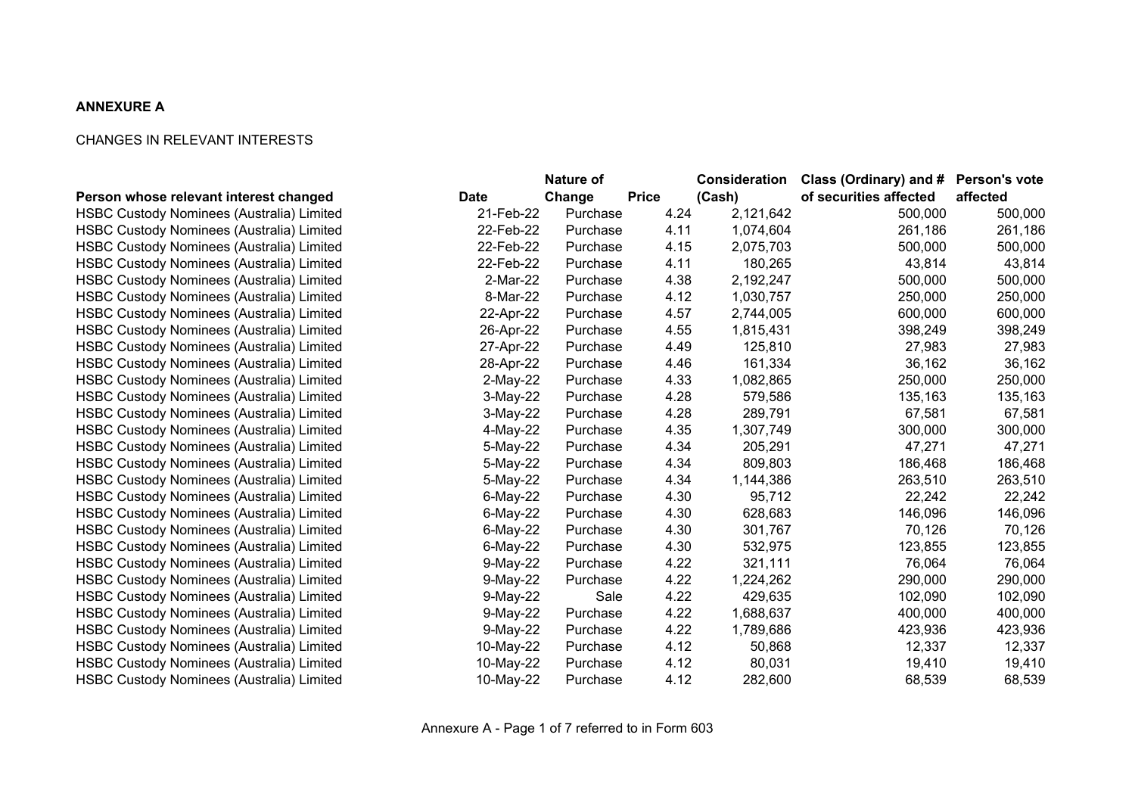### **ANNEXURE A**

### CHANGES IN RELEVANT INTERESTS

|                                                       |            | Nature of |              | <b>Consideration</b> | Class (Ordinary) and # Person's vote |          |
|-------------------------------------------------------|------------|-----------|--------------|----------------------|--------------------------------------|----------|
| Person whose relevant interest changed<br><b>Date</b> |            | Change    | <b>Price</b> | (Cash)               | of securities affected               | affected |
| <b>HSBC Custody Nominees (Australia) Limited</b>      | 21-Feb-22  | Purchase  | 4.24         | 2,121,642            | 500,000                              | 500,000  |
| <b>HSBC Custody Nominees (Australia) Limited</b>      | 22-Feb-22  | Purchase  | 4.11         | 1,074,604            | 261,186                              | 261,186  |
| HSBC Custody Nominees (Australia) Limited             | 22-Feb-22  | Purchase  | 4.15         | 2,075,703            | 500,000                              | 500,000  |
| <b>HSBC Custody Nominees (Australia) Limited</b>      | 22-Feb-22  | Purchase  | 4.11         | 180,265              | 43,814                               | 43,814   |
| <b>HSBC Custody Nominees (Australia) Limited</b>      | 2-Mar-22   | Purchase  | 4.38         | 2,192,247            | 500,000                              | 500,000  |
| HSBC Custody Nominees (Australia) Limited             | 8-Mar-22   | Purchase  | 4.12         | 1,030,757            | 250,000                              | 250,000  |
| <b>HSBC Custody Nominees (Australia) Limited</b>      | 22-Apr-22  | Purchase  | 4.57         | 2,744,005            | 600,000                              | 600,000  |
| <b>HSBC Custody Nominees (Australia) Limited</b>      | 26-Apr-22  | Purchase  | 4.55         | 1,815,431            | 398,249                              | 398,249  |
| <b>HSBC Custody Nominees (Australia) Limited</b>      | 27-Apr-22  | Purchase  | 4.49         | 125,810              | 27,983                               | 27,983   |
| <b>HSBC Custody Nominees (Australia) Limited</b>      | 28-Apr-22  | Purchase  | 4.46         | 161,334              | 36,162                               | 36,162   |
| <b>HSBC Custody Nominees (Australia) Limited</b>      | $2-May-22$ | Purchase  | 4.33         | 1,082,865            | 250,000                              | 250,000  |
| <b>HSBC Custody Nominees (Australia) Limited</b>      | 3-May-22   | Purchase  | 4.28         | 579,586              | 135,163                              | 135,163  |
| <b>HSBC Custody Nominees (Australia) Limited</b>      | 3-May-22   | Purchase  | 4.28         | 289,791              | 67,581                               | 67,581   |
| <b>HSBC Custody Nominees (Australia) Limited</b>      | 4-May-22   | Purchase  | 4.35         | 1,307,749            | 300,000                              | 300,000  |
| <b>HSBC Custody Nominees (Australia) Limited</b>      | 5-May-22   | Purchase  | 4.34         | 205,291              | 47,271                               | 47,271   |
| <b>HSBC Custody Nominees (Australia) Limited</b>      | 5-May-22   | Purchase  | 4.34         | 809,803              | 186,468                              | 186,468  |
| <b>HSBC Custody Nominees (Australia) Limited</b>      | 5-May-22   | Purchase  | 4.34         | 1,144,386            | 263,510                              | 263,510  |
| <b>HSBC Custody Nominees (Australia) Limited</b>      | 6-May-22   | Purchase  | 4.30         | 95,712               | 22,242                               | 22,242   |
| <b>HSBC Custody Nominees (Australia) Limited</b>      | 6-May-22   | Purchase  | 4.30         | 628,683              | 146,096                              | 146,096  |
| <b>HSBC Custody Nominees (Australia) Limited</b>      | 6-May-22   | Purchase  | 4.30         | 301,767              | 70,126                               | 70,126   |
| <b>HSBC Custody Nominees (Australia) Limited</b>      | 6-May-22   | Purchase  | 4.30         | 532,975              | 123,855                              | 123,855  |
| <b>HSBC Custody Nominees (Australia) Limited</b>      | 9-May-22   | Purchase  | 4.22         | 321,111              | 76,064                               | 76,064   |
| <b>HSBC Custody Nominees (Australia) Limited</b>      | 9-May-22   | Purchase  | 4.22         | 1,224,262            | 290,000                              | 290,000  |
| HSBC Custody Nominees (Australia) Limited             | 9-May-22   | Sale      | 4.22         | 429,635              | 102,090                              | 102,090  |
| <b>HSBC Custody Nominees (Australia) Limited</b>      | 9-May-22   | Purchase  | 4.22         | 1,688,637            | 400,000                              | 400,000  |
| <b>HSBC Custody Nominees (Australia) Limited</b>      | 9-May-22   | Purchase  | 4.22         | 1,789,686            | 423,936                              | 423,936  |
| HSBC Custody Nominees (Australia) Limited             | 10-May-22  | Purchase  | 4.12         | 50,868               | 12,337                               | 12,337   |
| <b>HSBC Custody Nominees (Australia) Limited</b>      | 10-May-22  | Purchase  | 4.12         | 80,031               | 19,410                               | 19,410   |
| <b>HSBC Custody Nominees (Australia) Limited</b>      | 10-May-22  | Purchase  | 4.12         | 282,600              | 68,539                               | 68,539   |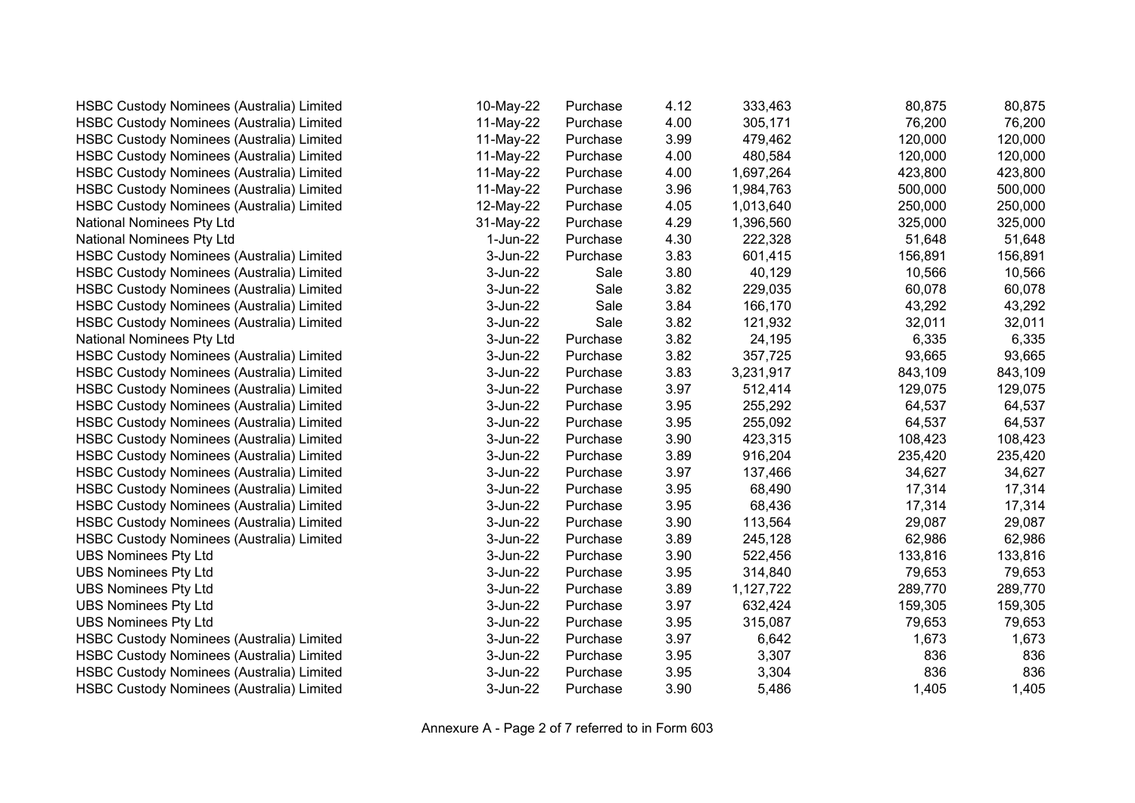| <b>HSBC Custody Nominees (Australia) Limited</b> | 10-May-22 | Purchase | 4.12 | 333,463   | 80,875  | 80,875  |
|--------------------------------------------------|-----------|----------|------|-----------|---------|---------|
| <b>HSBC Custody Nominees (Australia) Limited</b> | 11-May-22 | Purchase | 4.00 | 305,171   | 76,200  | 76,200  |
| <b>HSBC Custody Nominees (Australia) Limited</b> | 11-May-22 | Purchase | 3.99 | 479,462   | 120,000 | 120,000 |
| <b>HSBC Custody Nominees (Australia) Limited</b> | 11-May-22 | Purchase | 4.00 | 480,584   | 120,000 | 120,000 |
| <b>HSBC Custody Nominees (Australia) Limited</b> | 11-May-22 | Purchase | 4.00 | 1,697,264 | 423,800 | 423,800 |
| HSBC Custody Nominees (Australia) Limited        | 11-May-22 | Purchase | 3.96 | 1,984,763 | 500,000 | 500,000 |
| <b>HSBC Custody Nominees (Australia) Limited</b> | 12-May-22 | Purchase | 4.05 | 1,013,640 | 250,000 | 250,000 |
| National Nominees Pty Ltd                        | 31-May-22 | Purchase | 4.29 | 1,396,560 | 325,000 | 325,000 |
| National Nominees Pty Ltd                        | 1-Jun-22  | Purchase | 4.30 | 222,328   | 51,648  | 51,648  |
| HSBC Custody Nominees (Australia) Limited        | 3-Jun-22  | Purchase | 3.83 | 601,415   | 156,891 | 156,891 |
| <b>HSBC Custody Nominees (Australia) Limited</b> | 3-Jun-22  | Sale     | 3.80 | 40,129    | 10,566  | 10,566  |
| <b>HSBC Custody Nominees (Australia) Limited</b> | 3-Jun-22  | Sale     | 3.82 | 229,035   | 60,078  | 60,078  |
| HSBC Custody Nominees (Australia) Limited        | 3-Jun-22  | Sale     | 3.84 | 166,170   | 43,292  | 43,292  |
| <b>HSBC Custody Nominees (Australia) Limited</b> | 3-Jun-22  | Sale     | 3.82 | 121,932   | 32,011  | 32,011  |
| National Nominees Pty Ltd                        | 3-Jun-22  | Purchase | 3.82 | 24,195    | 6,335   | 6,335   |
| <b>HSBC Custody Nominees (Australia) Limited</b> | 3-Jun-22  | Purchase | 3.82 | 357,725   | 93,665  | 93,665  |
| <b>HSBC Custody Nominees (Australia) Limited</b> | 3-Jun-22  | Purchase | 3.83 | 3,231,917 | 843,109 | 843,109 |
| <b>HSBC Custody Nominees (Australia) Limited</b> | 3-Jun-22  | Purchase | 3.97 | 512,414   | 129,075 | 129,075 |
| HSBC Custody Nominees (Australia) Limited        | 3-Jun-22  | Purchase | 3.95 | 255,292   | 64,537  | 64,537  |
| <b>HSBC Custody Nominees (Australia) Limited</b> | 3-Jun-22  | Purchase | 3.95 | 255,092   | 64,537  | 64,537  |
| <b>HSBC Custody Nominees (Australia) Limited</b> | 3-Jun-22  | Purchase | 3.90 | 423,315   | 108,423 | 108,423 |
| <b>HSBC Custody Nominees (Australia) Limited</b> | 3-Jun-22  | Purchase | 3.89 | 916,204   | 235,420 | 235,420 |
| <b>HSBC Custody Nominees (Australia) Limited</b> | 3-Jun-22  | Purchase | 3.97 | 137,466   | 34,627  | 34,627  |
| HSBC Custody Nominees (Australia) Limited        | 3-Jun-22  | Purchase | 3.95 | 68,490    | 17,314  | 17,314  |
| <b>HSBC Custody Nominees (Australia) Limited</b> | 3-Jun-22  | Purchase | 3.95 | 68,436    | 17,314  | 17,314  |
| <b>HSBC Custody Nominees (Australia) Limited</b> | 3-Jun-22  | Purchase | 3.90 | 113,564   | 29,087  | 29,087  |
| <b>HSBC Custody Nominees (Australia) Limited</b> | 3-Jun-22  | Purchase | 3.89 | 245,128   | 62,986  | 62,986  |
| <b>UBS Nominees Pty Ltd</b>                      | 3-Jun-22  | Purchase | 3.90 | 522,456   | 133,816 | 133,816 |
| <b>UBS Nominees Pty Ltd</b>                      | 3-Jun-22  | Purchase | 3.95 | 314,840   | 79,653  | 79,653  |
| <b>UBS Nominees Pty Ltd</b>                      | 3-Jun-22  | Purchase | 3.89 | 1,127,722 | 289,770 | 289,770 |
| <b>UBS Nominees Pty Ltd</b>                      | 3-Jun-22  | Purchase | 3.97 | 632,424   | 159,305 | 159,305 |
| <b>UBS Nominees Pty Ltd</b>                      | 3-Jun-22  | Purchase | 3.95 | 315,087   | 79,653  | 79,653  |
| <b>HSBC Custody Nominees (Australia) Limited</b> | 3-Jun-22  | Purchase | 3.97 | 6,642     | 1,673   | 1,673   |
| HSBC Custody Nominees (Australia) Limited        | 3-Jun-22  | Purchase | 3.95 | 3,307     | 836     | 836     |
| <b>HSBC Custody Nominees (Australia) Limited</b> | 3-Jun-22  | Purchase | 3.95 | 3,304     | 836     | 836     |
| <b>HSBC Custody Nominees (Australia) Limited</b> | 3-Jun-22  | Purchase | 3.90 | 5,486     | 1,405   | 1,405   |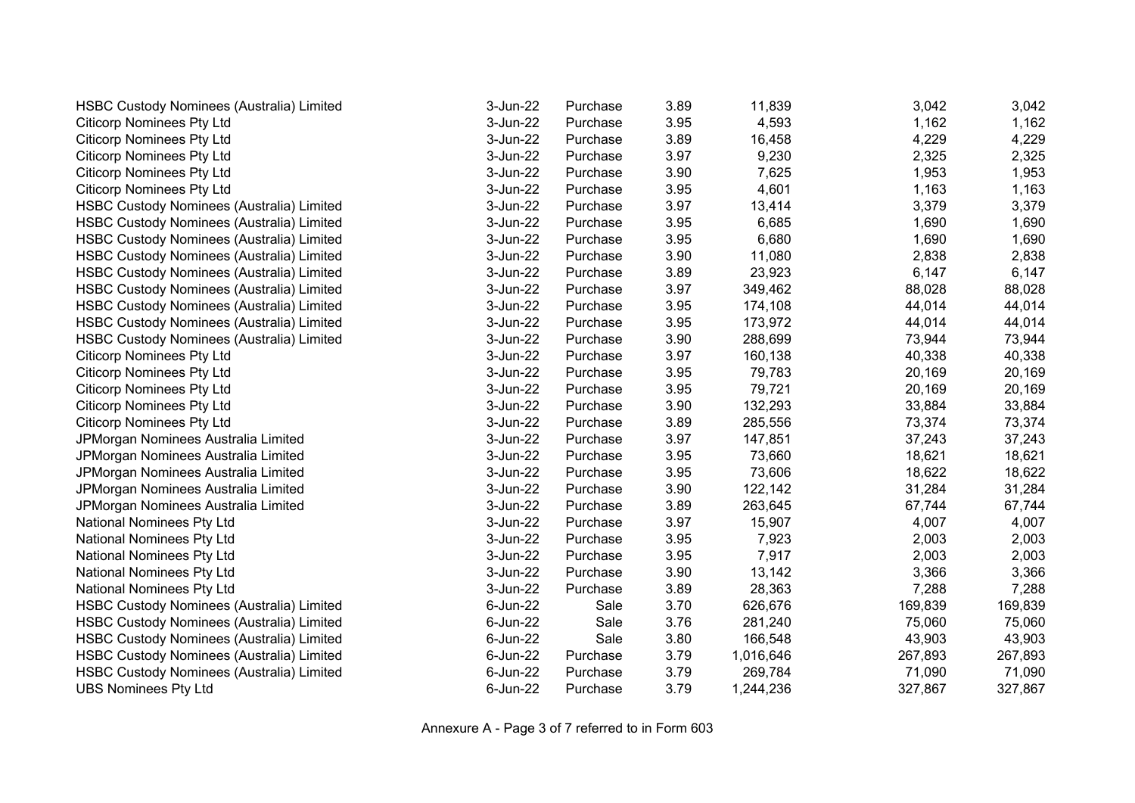| <b>HSBC Custody Nominees (Australia) Limited</b> | 3-Jun-22 | Purchase | 3.89 | 11,839    | 3,042   | 3,042   |
|--------------------------------------------------|----------|----------|------|-----------|---------|---------|
| <b>Citicorp Nominees Pty Ltd</b>                 | 3-Jun-22 | Purchase | 3.95 | 4,593     | 1,162   | 1,162   |
| <b>Citicorp Nominees Pty Ltd</b>                 | 3-Jun-22 | Purchase | 3.89 | 16,458    | 4,229   | 4,229   |
| <b>Citicorp Nominees Pty Ltd</b>                 | 3-Jun-22 | Purchase | 3.97 | 9,230     | 2,325   | 2,325   |
| <b>Citicorp Nominees Pty Ltd</b>                 | 3-Jun-22 | Purchase | 3.90 | 7,625     | 1,953   | 1,953   |
| <b>Citicorp Nominees Pty Ltd</b>                 | 3-Jun-22 | Purchase | 3.95 | 4,601     | 1,163   | 1,163   |
| <b>HSBC Custody Nominees (Australia) Limited</b> | 3-Jun-22 | Purchase | 3.97 | 13,414    | 3,379   | 3,379   |
| <b>HSBC Custody Nominees (Australia) Limited</b> | 3-Jun-22 | Purchase | 3.95 | 6,685     | 1,690   | 1,690   |
| HSBC Custody Nominees (Australia) Limited        | 3-Jun-22 | Purchase | 3.95 | 6,680     | 1,690   | 1,690   |
| HSBC Custody Nominees (Australia) Limited        | 3-Jun-22 | Purchase | 3.90 | 11,080    | 2,838   | 2,838   |
| <b>HSBC Custody Nominees (Australia) Limited</b> | 3-Jun-22 | Purchase | 3.89 | 23,923    | 6,147   | 6,147   |
| <b>HSBC Custody Nominees (Australia) Limited</b> | 3-Jun-22 | Purchase | 3.97 | 349,462   | 88,028  | 88,028  |
| HSBC Custody Nominees (Australia) Limited        | 3-Jun-22 | Purchase | 3.95 | 174,108   | 44,014  | 44,014  |
| <b>HSBC Custody Nominees (Australia) Limited</b> | 3-Jun-22 | Purchase | 3.95 | 173,972   | 44,014  | 44,014  |
| <b>HSBC Custody Nominees (Australia) Limited</b> | 3-Jun-22 | Purchase | 3.90 | 288,699   | 73,944  | 73,944  |
| <b>Citicorp Nominees Pty Ltd</b>                 | 3-Jun-22 | Purchase | 3.97 | 160,138   | 40,338  | 40,338  |
| <b>Citicorp Nominees Pty Ltd</b>                 | 3-Jun-22 | Purchase | 3.95 | 79,783    | 20,169  | 20,169  |
| <b>Citicorp Nominees Pty Ltd</b>                 | 3-Jun-22 | Purchase | 3.95 | 79,721    | 20,169  | 20,169  |
| <b>Citicorp Nominees Pty Ltd</b>                 | 3-Jun-22 | Purchase | 3.90 | 132,293   | 33,884  | 33,884  |
| <b>Citicorp Nominees Pty Ltd</b>                 | 3-Jun-22 | Purchase | 3.89 | 285,556   | 73,374  | 73,374  |
| JPMorgan Nominees Australia Limited              | 3-Jun-22 | Purchase | 3.97 | 147,851   | 37,243  | 37,243  |
| JPMorgan Nominees Australia Limited              | 3-Jun-22 | Purchase | 3.95 | 73,660    | 18,621  | 18,621  |
| JPMorgan Nominees Australia Limited              | 3-Jun-22 | Purchase | 3.95 | 73,606    | 18,622  | 18,622  |
| JPMorgan Nominees Australia Limited              | 3-Jun-22 | Purchase | 3.90 | 122,142   | 31,284  | 31,284  |
| JPMorgan Nominees Australia Limited              | 3-Jun-22 | Purchase | 3.89 | 263,645   | 67,744  | 67,744  |
| National Nominees Pty Ltd                        | 3-Jun-22 | Purchase | 3.97 | 15,907    | 4,007   | 4,007   |
| National Nominees Pty Ltd                        | 3-Jun-22 | Purchase | 3.95 | 7,923     | 2,003   | 2,003   |
| National Nominees Pty Ltd                        | 3-Jun-22 | Purchase | 3.95 | 7,917     | 2,003   | 2,003   |
| National Nominees Pty Ltd                        | 3-Jun-22 | Purchase | 3.90 | 13,142    | 3,366   | 3,366   |
| National Nominees Pty Ltd                        | 3-Jun-22 | Purchase | 3.89 | 28,363    | 7,288   | 7,288   |
| <b>HSBC Custody Nominees (Australia) Limited</b> | 6-Jun-22 | Sale     | 3.70 | 626,676   | 169,839 | 169,839 |
| HSBC Custody Nominees (Australia) Limited        | 6-Jun-22 | Sale     | 3.76 | 281,240   | 75,060  | 75,060  |
| HSBC Custody Nominees (Australia) Limited        | 6-Jun-22 | Sale     | 3.80 | 166,548   | 43,903  | 43,903  |
| <b>HSBC Custody Nominees (Australia) Limited</b> | 6-Jun-22 | Purchase | 3.79 | 1,016,646 | 267,893 | 267,893 |
| <b>HSBC Custody Nominees (Australia) Limited</b> | 6-Jun-22 | Purchase | 3.79 | 269,784   | 71,090  | 71,090  |
| <b>UBS Nominees Pty Ltd</b>                      | 6-Jun-22 | Purchase | 3.79 | 1,244,236 | 327,867 | 327,867 |

Annexure A - Page 3 of 7 referred to in Form 603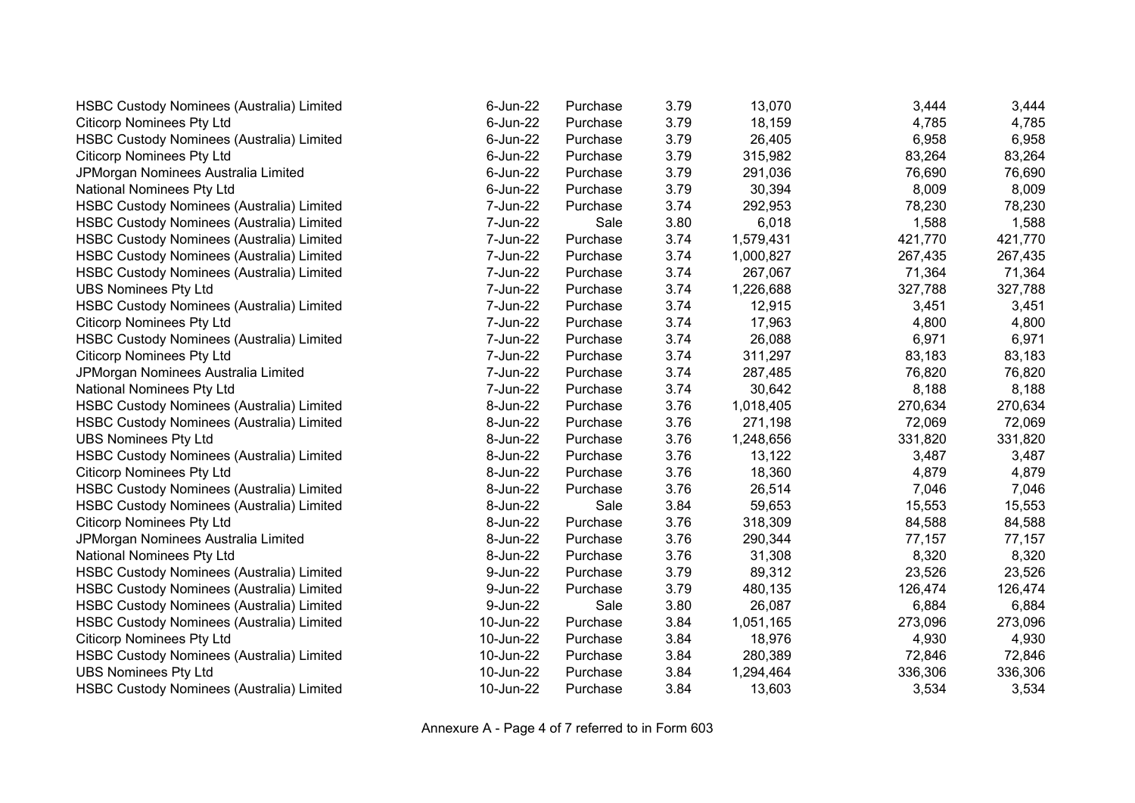| <b>HSBC Custody Nominees (Australia) Limited</b> | 6-Jun-22  | Purchase | 3.79 | 13,070    | 3,444   | 3,444   |
|--------------------------------------------------|-----------|----------|------|-----------|---------|---------|
| <b>Citicorp Nominees Pty Ltd</b>                 | 6-Jun-22  | Purchase | 3.79 | 18,159    | 4,785   | 4,785   |
| HSBC Custody Nominees (Australia) Limited        | 6-Jun-22  | Purchase | 3.79 | 26,405    | 6,958   | 6,958   |
| <b>Citicorp Nominees Pty Ltd</b>                 | 6-Jun-22  | Purchase | 3.79 | 315,982   | 83,264  | 83,264  |
| JPMorgan Nominees Australia Limited              | 6-Jun-22  | Purchase | 3.79 | 291,036   | 76,690  | 76,690  |
| National Nominees Pty Ltd                        | 6-Jun-22  | Purchase | 3.79 | 30,394    | 8,009   | 8,009   |
| <b>HSBC Custody Nominees (Australia) Limited</b> | 7-Jun-22  | Purchase | 3.74 | 292,953   | 78,230  | 78,230  |
| HSBC Custody Nominees (Australia) Limited        | 7-Jun-22  | Sale     | 3.80 | 6,018     | 1,588   | 1,588   |
| <b>HSBC Custody Nominees (Australia) Limited</b> | 7-Jun-22  | Purchase | 3.74 | 1,579,431 | 421,770 | 421,770 |
| <b>HSBC Custody Nominees (Australia) Limited</b> | 7-Jun-22  | Purchase | 3.74 | 1,000,827 | 267,435 | 267,435 |
| HSBC Custody Nominees (Australia) Limited        | 7-Jun-22  | Purchase | 3.74 | 267,067   | 71,364  | 71,364  |
| <b>UBS Nominees Pty Ltd</b>                      | 7-Jun-22  | Purchase | 3.74 | 1,226,688 | 327,788 | 327,788 |
| HSBC Custody Nominees (Australia) Limited        | 7-Jun-22  | Purchase | 3.74 | 12,915    | 3,451   | 3,451   |
| <b>Citicorp Nominees Pty Ltd</b>                 | 7-Jun-22  | Purchase | 3.74 | 17,963    | 4,800   | 4,800   |
| <b>HSBC Custody Nominees (Australia) Limited</b> | 7-Jun-22  | Purchase | 3.74 | 26,088    | 6,971   | 6,971   |
| <b>Citicorp Nominees Pty Ltd</b>                 | 7-Jun-22  | Purchase | 3.74 | 311,297   | 83,183  | 83,183  |
| JPMorgan Nominees Australia Limited              | 7-Jun-22  | Purchase | 3.74 | 287,485   | 76,820  | 76,820  |
| National Nominees Pty Ltd                        | 7-Jun-22  | Purchase | 3.74 | 30,642    | 8,188   | 8,188   |
| HSBC Custody Nominees (Australia) Limited        | 8-Jun-22  | Purchase | 3.76 | 1,018,405 | 270,634 | 270,634 |
| HSBC Custody Nominees (Australia) Limited        | 8-Jun-22  | Purchase | 3.76 | 271,198   | 72,069  | 72,069  |
| <b>UBS Nominees Pty Ltd</b>                      | 8-Jun-22  | Purchase | 3.76 | 1,248,656 | 331,820 | 331,820 |
| HSBC Custody Nominees (Australia) Limited        | 8-Jun-22  | Purchase | 3.76 | 13,122    | 3,487   | 3,487   |
| <b>Citicorp Nominees Pty Ltd</b>                 | 8-Jun-22  | Purchase | 3.76 | 18,360    | 4,879   | 4,879   |
| HSBC Custody Nominees (Australia) Limited        | 8-Jun-22  | Purchase | 3.76 | 26,514    | 7,046   | 7,046   |
| <b>HSBC Custody Nominees (Australia) Limited</b> | 8-Jun-22  | Sale     | 3.84 | 59,653    | 15,553  | 15,553  |
| <b>Citicorp Nominees Pty Ltd</b>                 | 8-Jun-22  | Purchase | 3.76 | 318,309   | 84,588  | 84,588  |
| JPMorgan Nominees Australia Limited              | 8-Jun-22  | Purchase | 3.76 | 290,344   | 77,157  | 77,157  |
| National Nominees Pty Ltd                        | 8-Jun-22  | Purchase | 3.76 | 31,308    | 8,320   | 8,320   |
| HSBC Custody Nominees (Australia) Limited        | 9-Jun-22  | Purchase | 3.79 | 89,312    | 23,526  | 23,526  |
| HSBC Custody Nominees (Australia) Limited        | 9-Jun-22  | Purchase | 3.79 | 480,135   | 126,474 | 126,474 |
| HSBC Custody Nominees (Australia) Limited        | 9-Jun-22  | Sale     | 3.80 | 26,087    | 6,884   | 6,884   |
| <b>HSBC Custody Nominees (Australia) Limited</b> | 10-Jun-22 | Purchase | 3.84 | 1,051,165 | 273,096 | 273,096 |
| <b>Citicorp Nominees Pty Ltd</b>                 | 10-Jun-22 | Purchase | 3.84 | 18,976    | 4,930   | 4,930   |
| HSBC Custody Nominees (Australia) Limited        | 10-Jun-22 | Purchase | 3.84 | 280,389   | 72,846  | 72,846  |
| <b>UBS Nominees Pty Ltd</b>                      | 10-Jun-22 | Purchase | 3.84 | 1,294,464 | 336,306 | 336,306 |
| HSBC Custody Nominees (Australia) Limited        | 10-Jun-22 | Purchase | 3.84 | 13,603    | 3,534   | 3,534   |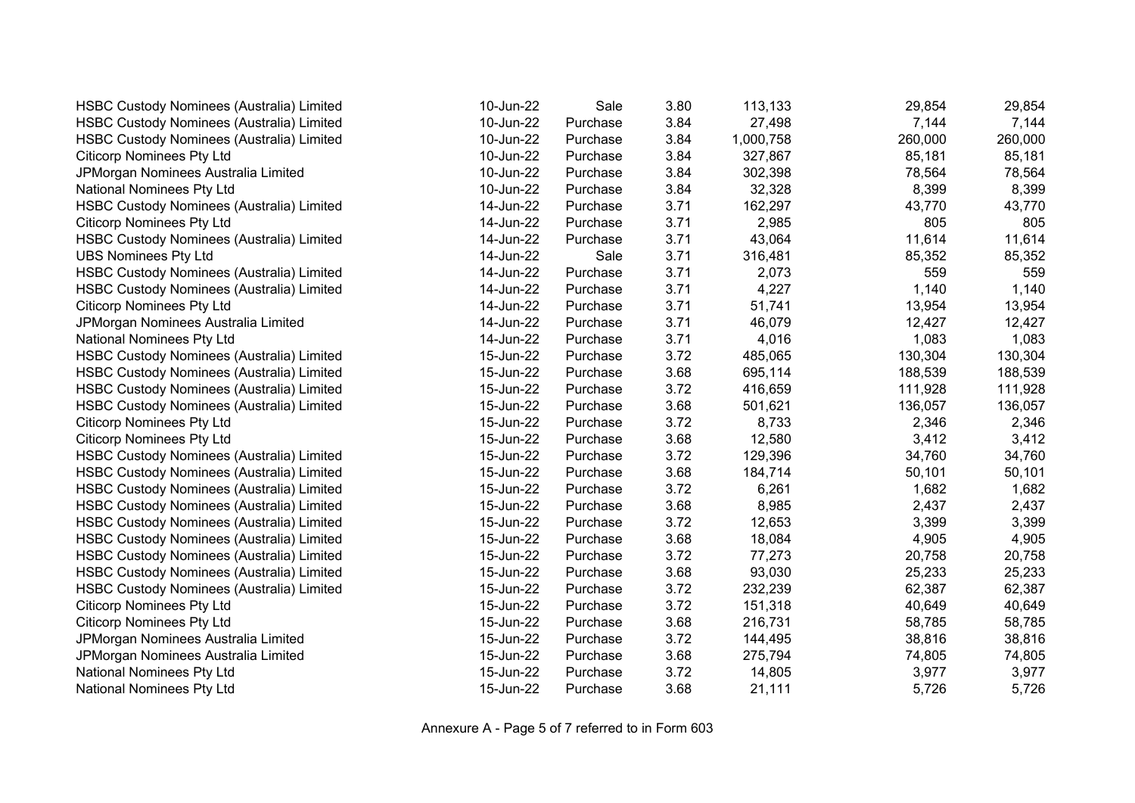| HSBC Custody Nominees (Australia) Limited        | 10-Jun-22 | Sale     | 3.80 | 113,133   | 29,854  | 29,854  |
|--------------------------------------------------|-----------|----------|------|-----------|---------|---------|
| HSBC Custody Nominees (Australia) Limited        | 10-Jun-22 | Purchase | 3.84 | 27,498    | 7,144   | 7,144   |
| HSBC Custody Nominees (Australia) Limited        | 10-Jun-22 | Purchase | 3.84 | 1,000,758 | 260,000 | 260,000 |
| <b>Citicorp Nominees Pty Ltd</b>                 | 10-Jun-22 | Purchase | 3.84 | 327,867   | 85,181  | 85,181  |
| JPMorgan Nominees Australia Limited              | 10-Jun-22 | Purchase | 3.84 | 302,398   | 78,564  | 78,564  |
| National Nominees Pty Ltd                        | 10-Jun-22 | Purchase | 3.84 | 32,328    | 8,399   | 8,399   |
| HSBC Custody Nominees (Australia) Limited        | 14-Jun-22 | Purchase | 3.71 | 162,297   | 43,770  | 43,770  |
| <b>Citicorp Nominees Pty Ltd</b>                 | 14-Jun-22 | Purchase | 3.71 | 2,985     | 805     | 805     |
| <b>HSBC Custody Nominees (Australia) Limited</b> | 14-Jun-22 | Purchase | 3.71 | 43,064    | 11,614  | 11,614  |
| <b>UBS Nominees Pty Ltd</b>                      | 14-Jun-22 | Sale     | 3.71 | 316,481   | 85,352  | 85,352  |
| HSBC Custody Nominees (Australia) Limited        | 14-Jun-22 | Purchase | 3.71 | 2,073     | 559     | 559     |
| HSBC Custody Nominees (Australia) Limited        | 14-Jun-22 | Purchase | 3.71 | 4,227     | 1,140   | 1,140   |
| <b>Citicorp Nominees Pty Ltd</b>                 | 14-Jun-22 | Purchase | 3.71 | 51,741    | 13,954  | 13,954  |
| JPMorgan Nominees Australia Limited              | 14-Jun-22 | Purchase | 3.71 | 46,079    | 12,427  | 12,427  |
| National Nominees Pty Ltd                        | 14-Jun-22 | Purchase | 3.71 | 4,016     | 1,083   | 1,083   |
| <b>HSBC Custody Nominees (Australia) Limited</b> | 15-Jun-22 | Purchase | 3.72 | 485,065   | 130,304 | 130,304 |
| <b>HSBC Custody Nominees (Australia) Limited</b> | 15-Jun-22 | Purchase | 3.68 | 695,114   | 188,539 | 188,539 |
| <b>HSBC Custody Nominees (Australia) Limited</b> | 15-Jun-22 | Purchase | 3.72 | 416,659   | 111,928 | 111,928 |
| <b>HSBC Custody Nominees (Australia) Limited</b> | 15-Jun-22 | Purchase | 3.68 | 501,621   | 136,057 | 136,057 |
| <b>Citicorp Nominees Pty Ltd</b>                 | 15-Jun-22 | Purchase | 3.72 | 8,733     | 2,346   | 2,346   |
| <b>Citicorp Nominees Pty Ltd</b>                 | 15-Jun-22 | Purchase | 3.68 | 12,580    | 3,412   | 3,412   |
| HSBC Custody Nominees (Australia) Limited        | 15-Jun-22 | Purchase | 3.72 | 129,396   | 34,760  | 34,760  |
| HSBC Custody Nominees (Australia) Limited        | 15-Jun-22 | Purchase | 3.68 | 184,714   | 50,101  | 50,101  |
| <b>HSBC Custody Nominees (Australia) Limited</b> | 15-Jun-22 | Purchase | 3.72 | 6,261     | 1,682   | 1,682   |
| <b>HSBC Custody Nominees (Australia) Limited</b> | 15-Jun-22 | Purchase | 3.68 | 8,985     | 2,437   | 2,437   |
| HSBC Custody Nominees (Australia) Limited        | 15-Jun-22 | Purchase | 3.72 | 12,653    | 3,399   | 3,399   |
| HSBC Custody Nominees (Australia) Limited        | 15-Jun-22 | Purchase | 3.68 | 18,084    | 4,905   | 4,905   |
| HSBC Custody Nominees (Australia) Limited        | 15-Jun-22 | Purchase | 3.72 | 77,273    | 20,758  | 20,758  |
| HSBC Custody Nominees (Australia) Limited        | 15-Jun-22 | Purchase | 3.68 | 93,030    | 25,233  | 25,233  |
| <b>HSBC Custody Nominees (Australia) Limited</b> | 15-Jun-22 | Purchase | 3.72 | 232,239   | 62,387  | 62,387  |
| <b>Citicorp Nominees Pty Ltd</b>                 | 15-Jun-22 | Purchase | 3.72 | 151,318   | 40,649  | 40,649  |
| <b>Citicorp Nominees Pty Ltd</b>                 | 15-Jun-22 | Purchase | 3.68 | 216,731   | 58,785  | 58,785  |
| JPMorgan Nominees Australia Limited              | 15-Jun-22 | Purchase | 3.72 | 144,495   | 38,816  | 38,816  |
| JPMorgan Nominees Australia Limited              | 15-Jun-22 | Purchase | 3.68 | 275,794   | 74,805  | 74,805  |
| National Nominees Pty Ltd                        | 15-Jun-22 | Purchase | 3.72 | 14,805    | 3,977   | 3,977   |
| National Nominees Pty Ltd                        | 15-Jun-22 | Purchase | 3.68 | 21,111    | 5,726   | 5,726   |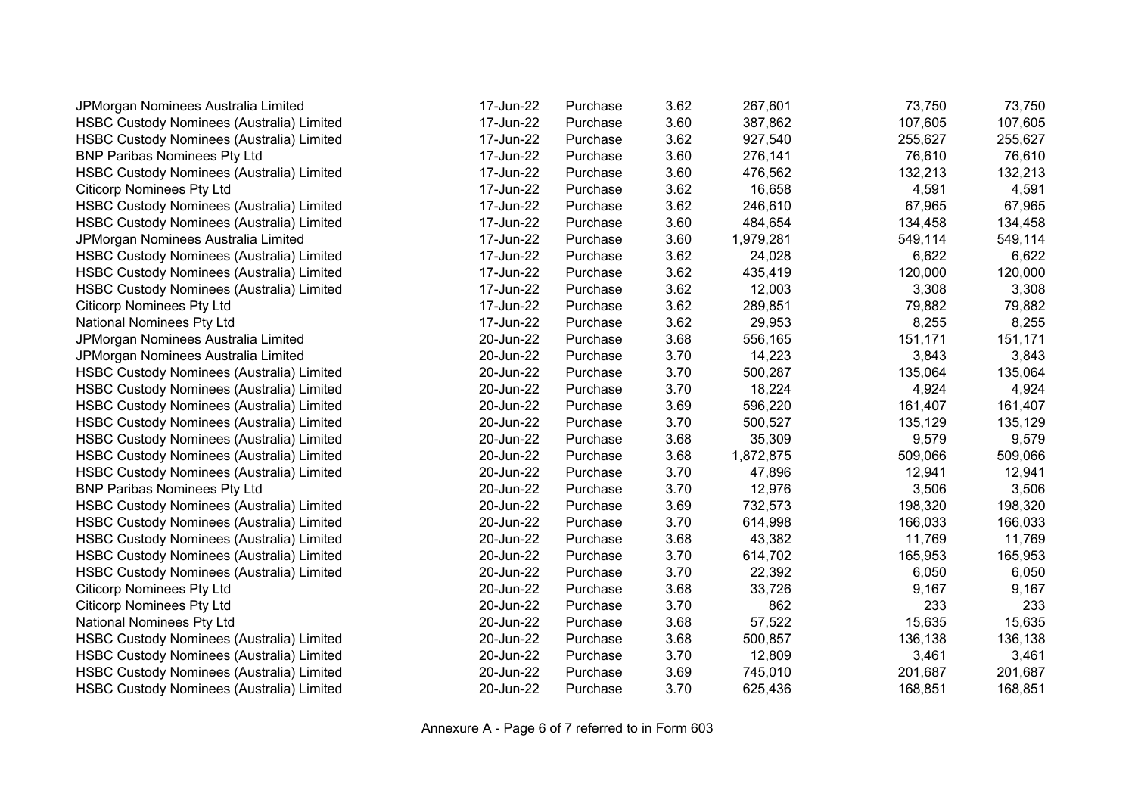| JPMorgan Nominees Australia Limited              | 17-Jun-22 | Purchase | 3.62 | 267,601   | 73,750  | 73,750  |
|--------------------------------------------------|-----------|----------|------|-----------|---------|---------|
| HSBC Custody Nominees (Australia) Limited        | 17-Jun-22 | Purchase | 3.60 | 387,862   | 107,605 | 107,605 |
| <b>HSBC Custody Nominees (Australia) Limited</b> | 17-Jun-22 | Purchase | 3.62 | 927,540   | 255,627 | 255,627 |
| <b>BNP Paribas Nominees Pty Ltd</b>              | 17-Jun-22 | Purchase | 3.60 | 276,141   | 76,610  | 76,610  |
| HSBC Custody Nominees (Australia) Limited        | 17-Jun-22 | Purchase | 3.60 | 476,562   | 132,213 | 132,213 |
| <b>Citicorp Nominees Pty Ltd</b>                 | 17-Jun-22 | Purchase | 3.62 | 16,658    | 4,591   | 4,591   |
| <b>HSBC Custody Nominees (Australia) Limited</b> | 17-Jun-22 | Purchase | 3.62 | 246,610   | 67,965  | 67,965  |
| HSBC Custody Nominees (Australia) Limited        | 17-Jun-22 | Purchase | 3.60 | 484,654   | 134,458 | 134,458 |
| JPMorgan Nominees Australia Limited              | 17-Jun-22 | Purchase | 3.60 | 1,979,281 | 549,114 | 549,114 |
| HSBC Custody Nominees (Australia) Limited        | 17-Jun-22 | Purchase | 3.62 | 24,028    | 6,622   | 6,622   |
| <b>HSBC Custody Nominees (Australia) Limited</b> | 17-Jun-22 | Purchase | 3.62 | 435,419   | 120,000 | 120,000 |
| HSBC Custody Nominees (Australia) Limited        | 17-Jun-22 | Purchase | 3.62 | 12,003    | 3,308   | 3,308   |
| <b>Citicorp Nominees Pty Ltd</b>                 | 17-Jun-22 | Purchase | 3.62 | 289,851   | 79,882  | 79,882  |
| National Nominees Pty Ltd                        | 17-Jun-22 | Purchase | 3.62 | 29,953    | 8,255   | 8,255   |
| JPMorgan Nominees Australia Limited              | 20-Jun-22 | Purchase | 3.68 | 556,165   | 151,171 | 151,171 |
| JPMorgan Nominees Australia Limited              | 20-Jun-22 | Purchase | 3.70 | 14,223    | 3,843   | 3,843   |
| HSBC Custody Nominees (Australia) Limited        | 20-Jun-22 | Purchase | 3.70 | 500,287   | 135,064 | 135,064 |
| HSBC Custody Nominees (Australia) Limited        | 20-Jun-22 | Purchase | 3.70 | 18,224    | 4,924   | 4,924   |
| HSBC Custody Nominees (Australia) Limited        | 20-Jun-22 | Purchase | 3.69 | 596,220   | 161,407 | 161,407 |
| HSBC Custody Nominees (Australia) Limited        | 20-Jun-22 | Purchase | 3.70 | 500,527   | 135,129 | 135,129 |
| <b>HSBC Custody Nominees (Australia) Limited</b> | 20-Jun-22 | Purchase | 3.68 | 35,309    | 9,579   | 9,579   |
| HSBC Custody Nominees (Australia) Limited        | 20-Jun-22 | Purchase | 3.68 | 1,872,875 | 509,066 | 509,066 |
| HSBC Custody Nominees (Australia) Limited        | 20-Jun-22 | Purchase | 3.70 | 47,896    | 12,941  | 12,941  |
| <b>BNP Paribas Nominees Pty Ltd</b>              | 20-Jun-22 | Purchase | 3.70 | 12,976    | 3,506   | 3,506   |
| HSBC Custody Nominees (Australia) Limited        | 20-Jun-22 | Purchase | 3.69 | 732,573   | 198,320 | 198,320 |
| HSBC Custody Nominees (Australia) Limited        | 20-Jun-22 | Purchase | 3.70 | 614,998   | 166,033 | 166,033 |
| HSBC Custody Nominees (Australia) Limited        | 20-Jun-22 | Purchase | 3.68 | 43,382    | 11,769  | 11,769  |
| <b>HSBC Custody Nominees (Australia) Limited</b> | 20-Jun-22 | Purchase | 3.70 | 614,702   | 165,953 | 165,953 |
| HSBC Custody Nominees (Australia) Limited        | 20-Jun-22 | Purchase | 3.70 | 22,392    | 6,050   | 6,050   |
| <b>Citicorp Nominees Pty Ltd</b>                 | 20-Jun-22 | Purchase | 3.68 | 33,726    | 9,167   | 9,167   |
| <b>Citicorp Nominees Pty Ltd</b>                 | 20-Jun-22 | Purchase | 3.70 | 862       | 233     | 233     |
| National Nominees Pty Ltd                        | 20-Jun-22 | Purchase | 3.68 | 57,522    | 15,635  | 15,635  |
| HSBC Custody Nominees (Australia) Limited        | 20-Jun-22 | Purchase | 3.68 | 500,857   | 136,138 | 136,138 |
| HSBC Custody Nominees (Australia) Limited        | 20-Jun-22 | Purchase | 3.70 | 12,809    | 3,461   | 3,461   |
| HSBC Custody Nominees (Australia) Limited        | 20-Jun-22 | Purchase | 3.69 | 745,010   | 201,687 | 201,687 |
| <b>HSBC Custody Nominees (Australia) Limited</b> | 20-Jun-22 | Purchase | 3.70 | 625,436   | 168,851 | 168,851 |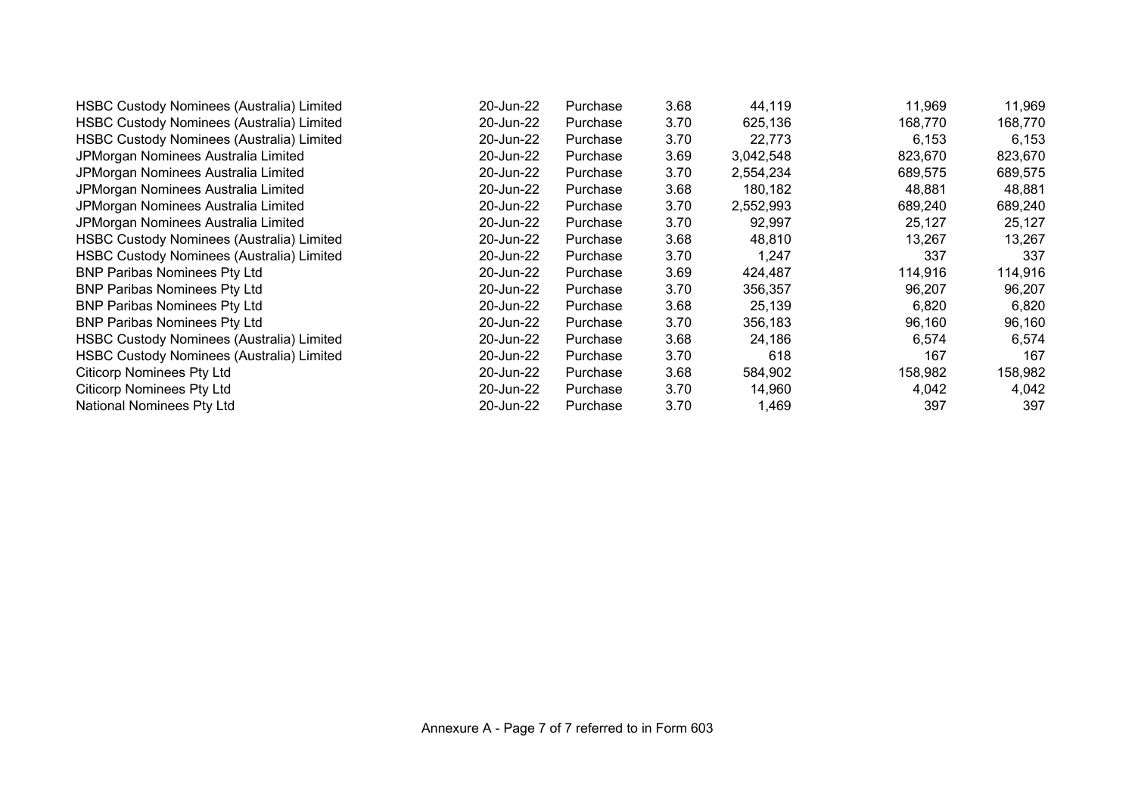| HSBC Custody Nominees (Australia) Limited | 20-Jun-22 | Purchase | 3.68 | 44,119    | 11,969  | 11,969  |
|-------------------------------------------|-----------|----------|------|-----------|---------|---------|
| HSBC Custody Nominees (Australia) Limited | 20-Jun-22 | Purchase | 3.70 | 625,136   | 168,770 | 168,770 |
| HSBC Custody Nominees (Australia) Limited | 20-Jun-22 | Purchase | 3.70 | 22,773    | 6,153   | 6,153   |
| JPMorgan Nominees Australia Limited       | 20-Jun-22 | Purchase | 3.69 | 3,042,548 | 823,670 | 823,670 |
| JPMorgan Nominees Australia Limited       | 20-Jun-22 | Purchase | 3.70 | 2,554,234 | 689,575 | 689,575 |
| JPMorgan Nominees Australia Limited       | 20-Jun-22 | Purchase | 3.68 | 180,182   | 48,881  | 48,881  |
| JPMorgan Nominees Australia Limited       | 20-Jun-22 | Purchase | 3.70 | 2,552,993 | 689,240 | 689,240 |
| JPMorgan Nominees Australia Limited       | 20-Jun-22 | Purchase | 3.70 | 92,997    | 25,127  | 25,127  |
| HSBC Custody Nominees (Australia) Limited | 20-Jun-22 | Purchase | 3.68 | 48,810    | 13,267  | 13,267  |
| HSBC Custody Nominees (Australia) Limited | 20-Jun-22 | Purchase | 3.70 | 1,247     | 337     | 337     |
| <b>BNP Paribas Nominees Pty Ltd</b>       | 20-Jun-22 | Purchase | 3.69 | 424,487   | 114,916 | 114,916 |
| <b>BNP Paribas Nominees Pty Ltd</b>       | 20-Jun-22 | Purchase | 3.70 | 356,357   | 96,207  | 96,207  |
| <b>BNP Paribas Nominees Pty Ltd</b>       | 20-Jun-22 | Purchase | 3.68 | 25,139    | 6,820   | 6,820   |
| <b>BNP Paribas Nominees Pty Ltd</b>       | 20-Jun-22 | Purchase | 3.70 | 356,183   | 96,160  | 96,160  |
| HSBC Custody Nominees (Australia) Limited | 20-Jun-22 | Purchase | 3.68 | 24,186    | 6,574   | 6,574   |
| HSBC Custody Nominees (Australia) Limited | 20-Jun-22 | Purchase | 3.70 | 618       | 167     | 167     |
| <b>Citicorp Nominees Pty Ltd</b>          | 20-Jun-22 | Purchase | 3.68 | 584,902   | 158,982 | 158,982 |
| <b>Citicorp Nominees Pty Ltd</b>          | 20-Jun-22 | Purchase | 3.70 | 14,960    | 4,042   | 4,042   |
| National Nominees Pty Ltd                 | 20-Jun-22 | Purchase | 3.70 | 1,469     | 397     | 397     |